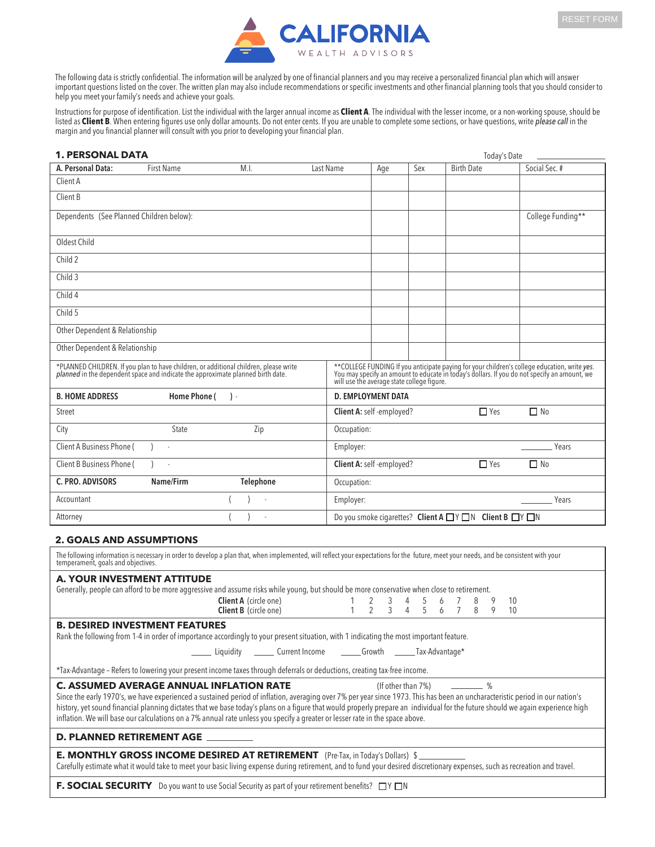

The following data is strictly confidential. The information will be analyzed by one of financial planners and you may receive a personalized financial plan which will answer important questions listed on the cover. The written plan may also include recommendations or specific investments and other financial planning tools that you should consider to help you meet your family's needs and achieve your goals.

Instructions for purpose of identification. List the individual with the larger annual income as **Client A**. The individual with the lesser income, or a non-working spouse, should be listed as **Client B**. When entering figures use only dollar amounts. Do not enter cents. If you are unable to complete some sections, or have questions, write *please call* in the margin and you financial planner will consult with you prior to developing your financial plan.

| <b>1. PERSONAL DATA</b>                                                                                                                                                                                                                                                                                                                                                                                                                                                                                                                                                        |                   |                             |             |                               |                                    | Today's Date                                                               |                   |
|--------------------------------------------------------------------------------------------------------------------------------------------------------------------------------------------------------------------------------------------------------------------------------------------------------------------------------------------------------------------------------------------------------------------------------------------------------------------------------------------------------------------------------------------------------------------------------|-------------------|-----------------------------|-------------|-------------------------------|------------------------------------|----------------------------------------------------------------------------|-------------------|
| A. Personal Data:                                                                                                                                                                                                                                                                                                                                                                                                                                                                                                                                                              | <b>First Name</b> | M.I.                        | Last Name   | Age                           | Sex                                | <b>Birth Date</b>                                                          | Social Sec. #     |
| Client A                                                                                                                                                                                                                                                                                                                                                                                                                                                                                                                                                                       |                   |                             |             |                               |                                    |                                                                            |                   |
| Client B                                                                                                                                                                                                                                                                                                                                                                                                                                                                                                                                                                       |                   |                             |             |                               |                                    |                                                                            |                   |
| Dependents (See Planned Children below):                                                                                                                                                                                                                                                                                                                                                                                                                                                                                                                                       |                   |                             |             |                               |                                    |                                                                            | College Funding** |
| Oldest Child                                                                                                                                                                                                                                                                                                                                                                                                                                                                                                                                                                   |                   |                             |             |                               |                                    |                                                                            |                   |
| Child 2                                                                                                                                                                                                                                                                                                                                                                                                                                                                                                                                                                        |                   |                             |             |                               |                                    |                                                                            |                   |
| Child 3                                                                                                                                                                                                                                                                                                                                                                                                                                                                                                                                                                        |                   |                             |             |                               |                                    |                                                                            |                   |
| Child 4                                                                                                                                                                                                                                                                                                                                                                                                                                                                                                                                                                        |                   |                             |             |                               |                                    |                                                                            |                   |
| Child 5                                                                                                                                                                                                                                                                                                                                                                                                                                                                                                                                                                        |                   |                             |             |                               |                                    |                                                                            |                   |
| Other Dependent & Relationship                                                                                                                                                                                                                                                                                                                                                                                                                                                                                                                                                 |                   |                             |             |                               |                                    |                                                                            |                   |
| Other Dependent & Relationship                                                                                                                                                                                                                                                                                                                                                                                                                                                                                                                                                 |                   |                             |             |                               |                                    |                                                                            |                   |
| *PLANNED CHILDREN. If you plan to have children, or additional children, please write planned in the dependent space and indicate the approximate planned birth date.<br>**COLLEGE FUNDING If you anticipate paying for your children's college education, write yes.<br>You may specify an amount to educate in today's dollars. If you do not specify an amount, we<br>will use the average state college figure.                                                                                                                                                            |                   |                             |             |                               |                                    |                                                                            |                   |
| <b>B. HOME ADDRESS</b>                                                                                                                                                                                                                                                                                                                                                                                                                                                                                                                                                         | Home Phone (      | $\cdot$                     |             | <b>D. EMPLOYMENT DATA</b>     |                                    |                                                                            |                   |
| Street                                                                                                                                                                                                                                                                                                                                                                                                                                                                                                                                                                         |                   |                             |             | Client A: self-employed?      |                                    | $\Box$ Yes                                                                 | $\Box$ No         |
| City                                                                                                                                                                                                                                                                                                                                                                                                                                                                                                                                                                           | <b>State</b>      | Zip                         | Occupation: |                               |                                    |                                                                            |                   |
| Client A Business Phone (<br>Employer:                                                                                                                                                                                                                                                                                                                                                                                                                                                                                                                                         |                   |                             |             |                               |                                    |                                                                            | Years             |
| Client B Business Phone (                                                                                                                                                                                                                                                                                                                                                                                                                                                                                                                                                      |                   |                             |             | Client A: self-employed?      |                                    | $\Box$ Yes                                                                 | $\Box$ No         |
| C. PRO. ADVISORS                                                                                                                                                                                                                                                                                                                                                                                                                                                                                                                                                               | Name/Firm         | Telephone                   | Occupation: |                               |                                    |                                                                            |                   |
| Accountant                                                                                                                                                                                                                                                                                                                                                                                                                                                                                                                                                                     |                   |                             | Employer:   |                               |                                    |                                                                            | Years             |
| Attorney                                                                                                                                                                                                                                                                                                                                                                                                                                                                                                                                                                       |                   |                             |             |                               |                                    | Do you smoke cigarettes? Client A $\Box Y \Box N$ Client B $\Box Y \Box N$ |                   |
| <b>2. GOALS AND ASSUMPTIONS</b>                                                                                                                                                                                                                                                                                                                                                                                                                                                                                                                                                |                   |                             |             |                               |                                    |                                                                            |                   |
| The following information is necessary in order to develop a plan that, when implemented, will reflect your expectations for the future, meet your needs, and be consistent with your<br>temperament, goals and objectives.                                                                                                                                                                                                                                                                                                                                                    |                   |                             |             |                               |                                    |                                                                            |                   |
| <b>A. YOUR INVESTMENT ATTITUDE</b>                                                                                                                                                                                                                                                                                                                                                                                                                                                                                                                                             |                   |                             |             |                               |                                    |                                                                            |                   |
| Generally, people can afford to be more aggressive and assume risks while young, but should be more conservative when close to retirement.                                                                                                                                                                                                                                                                                                                                                                                                                                     |                   | Client A (circle one)       |             |                               | 4                                  | 8<br>9                                                                     |                   |
|                                                                                                                                                                                                                                                                                                                                                                                                                                                                                                                                                                                |                   | Client B (circle one)       | 1           | 2<br>3<br>$\overline{2}$<br>3 | 5<br>6<br>$\overline{4}$<br>5<br>6 | 10<br>$\overline{7}$<br>8<br>9<br>10                                       |                   |
| <b>B. DESIRED INVESTMENT FEATURES</b>                                                                                                                                                                                                                                                                                                                                                                                                                                                                                                                                          |                   |                             |             |                               |                                    |                                                                            |                   |
| Rank the following from 1-4 in order of importance accordingly to your present situation, with 1 indicating the most important feature.                                                                                                                                                                                                                                                                                                                                                                                                                                        |                   |                             |             |                               |                                    |                                                                            |                   |
|                                                                                                                                                                                                                                                                                                                                                                                                                                                                                                                                                                                |                   | Current Income<br>Liauidity |             |                               | Growth _________ Tax-Advantage*    |                                                                            |                   |
| *Tax-Advantage - Refers to lowering your present income taxes through deferrals or deductions, creating tax-free income.                                                                                                                                                                                                                                                                                                                                                                                                                                                       |                   |                             |             |                               |                                    |                                                                            |                   |
| <b>C. ASSUMED AVERAGE ANNUAL INFLATION RATE</b><br>- %<br>(If other than 7%)<br>Since the early 1970's, we have experienced a sustained period of inflation, averaging over 7% per year since 1973. This has been an uncharacteristic period in our nation's<br>history, yet sound financial planning dictates that we base today's plans on a figure that would properly prepare an individual for the future should we again experience high<br>inflation. We will base our calculations on a 7% annual rate unless you specify a greater or lesser rate in the space above. |                   |                             |             |                               |                                    |                                                                            |                   |
| D. PLANNED RETIREMENT AGE _                                                                                                                                                                                                                                                                                                                                                                                                                                                                                                                                                    |                   |                             |             |                               |                                    |                                                                            |                   |
| <b>E. MONTHLY GROSS INCOME DESIRED AT RETIREMENT</b> (Pre-Tax, in Today's Dollars) \$<br>Carefully estimate what it would take to meet your basic living expense during retirement, and to fund your desired discretionary expenses, such as recreation and travel.                                                                                                                                                                                                                                                                                                            |                   |                             |             |                               |                                    |                                                                            |                   |
| F. SOCIAL SECURITY Do you want to use Social Security as part of your retirement benefits? $\square Y \square N$                                                                                                                                                                                                                                                                                                                                                                                                                                                               |                   |                             |             |                               |                                    |                                                                            |                   |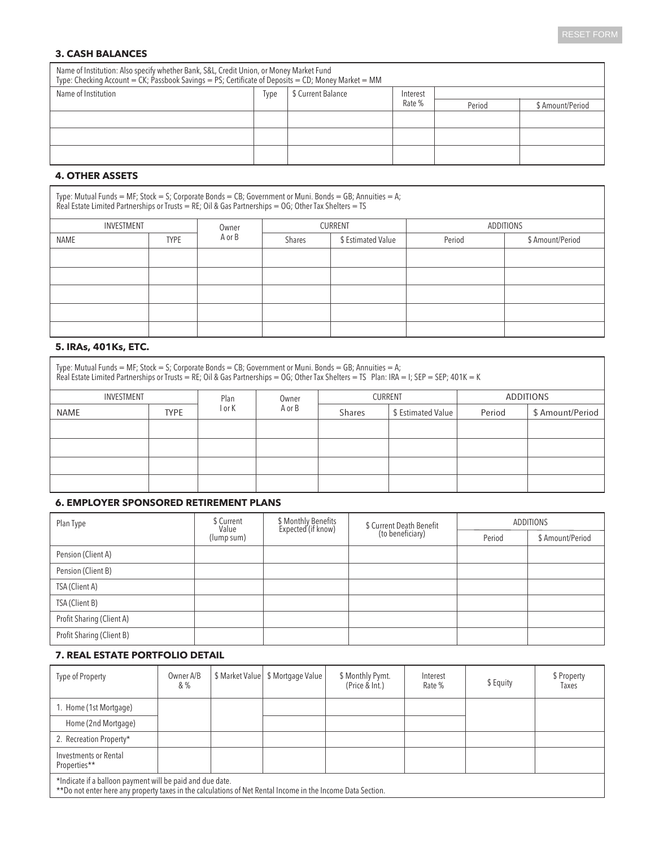### **3. CASH BALANCES**

| Name of Institution: Also specify whether Bank, S&L, Credit Union, or Money Market Fund<br>Type: Checking Account = CK; Passbook Savings = PS; Certificate of Deposits = CD; Money Market = MM |             |                    |          |        |                  |  |  |  |  |
|------------------------------------------------------------------------------------------------------------------------------------------------------------------------------------------------|-------------|--------------------|----------|--------|------------------|--|--|--|--|
| Name of Institution                                                                                                                                                                            | <b>Type</b> | \$ Current Balance | Interest |        |                  |  |  |  |  |
|                                                                                                                                                                                                |             |                    | Rate %   | Period | \$ Amount/Period |  |  |  |  |
|                                                                                                                                                                                                |             |                    |          |        |                  |  |  |  |  |
|                                                                                                                                                                                                |             |                    |          |        |                  |  |  |  |  |
|                                                                                                                                                                                                |             |                    |          |        |                  |  |  |  |  |

## **4. OTHER ASSETS**

Type: Mutual Funds = MF; Stock = S; Corporate Bonds = CB; Government or Muni. Bonds = GB; Annuities = A; Real Estate Limited Partnerships or Trusts = RE; Oil & Gas Partnerships = OG; Other Tax Shelters = TS

| INVESTMENT |             | Owner  |                              | CURRENT | ADDITIONS |                  |  |  |
|------------|-------------|--------|------------------------------|---------|-----------|------------------|--|--|
| NAME       | <b>TYPE</b> | A or B | \$ Estimated Value<br>Shares |         | Period    | \$ Amount/Period |  |  |
|            |             |        |                              |         |           |                  |  |  |
|            |             |        |                              |         |           |                  |  |  |
|            |             |        |                              |         |           |                  |  |  |
|            |             |        |                              |         |           |                  |  |  |
|            |             |        |                              |         |           |                  |  |  |

## **5. IRAs, 401Ks, ETC.**

| Type: Mutual Funds = MF; Stock = S; Corporate Bonds = CB; Government or Muni. Bonds = GB; Annuities = A;<br>Real Estate Limited Partnerships or Trusts = RE; Oil & Gas Partnerships = OG; Other Tax Shelters = TS Plan: IRA = I; SEP = SEP; 401K = K |             |        |        |        |                    |                  |                  |  |  |
|------------------------------------------------------------------------------------------------------------------------------------------------------------------------------------------------------------------------------------------------------|-------------|--------|--------|--------|--------------------|------------------|------------------|--|--|
| INVESTMENT                                                                                                                                                                                                                                           |             | Plan   | Owner  |        | <b>CURRENT</b>     | <b>ADDITIONS</b> |                  |  |  |
| <b>NAME</b>                                                                                                                                                                                                                                          | <b>TYPE</b> | l or K | A or B | Shares | \$ Estimated Value | Period           | \$ Amount/Period |  |  |
|                                                                                                                                                                                                                                                      |             |        |        |        |                    |                  |                  |  |  |
|                                                                                                                                                                                                                                                      |             |        |        |        |                    |                  |                  |  |  |
|                                                                                                                                                                                                                                                      |             |        |        |        |                    |                  |                  |  |  |
|                                                                                                                                                                                                                                                      |             |        |        |        |                    |                  |                  |  |  |
|                                                                                                                                                                                                                                                      |             |        |        |        |                    |                  |                  |  |  |

#### **6. EMPLOYER SPONSORED RETIREMENT PLANS**

| Plan Type                 | \$ Current<br>Value | \$ Monthly Benefits<br>Expected (if know) | \$ Current Death Benefit<br>(to beneficiary) | <b>ADDITIONS</b> |                  |  |
|---------------------------|---------------------|-------------------------------------------|----------------------------------------------|------------------|------------------|--|
|                           | (lump sum)          |                                           |                                              | Period           | \$ Amount/Period |  |
| Pension (Client A)        |                     |                                           |                                              |                  |                  |  |
| Pension (Client B)        |                     |                                           |                                              |                  |                  |  |
| TSA (Client A)            |                     |                                           |                                              |                  |                  |  |
| TSA (Client B)            |                     |                                           |                                              |                  |                  |  |
| Profit Sharing (Client A) |                     |                                           |                                              |                  |                  |  |
| Profit Sharing (Client B) |                     |                                           |                                              |                  |                  |  |

### **7. REAL ESTATE PORTFOLIO DETAIL**

| Type of Property                                          | Owner A/B<br>&% |  | \$ Market Value   \$ Mortgage Value | \$ Monthly Pymt.<br>(Price & Int.) | Interest<br>Rate % | \$ Equity | \$ Property<br>Taxes |  |
|-----------------------------------------------------------|-----------------|--|-------------------------------------|------------------------------------|--------------------|-----------|----------------------|--|
| 1. Home (1st Mortgage)                                    |                 |  |                                     |                                    |                    |           |                      |  |
| Home (2nd Mortgage)                                       |                 |  |                                     |                                    |                    |           |                      |  |
| 2. Recreation Property*                                   |                 |  |                                     |                                    |                    |           |                      |  |
| Investments or Rental<br>Properties**                     |                 |  |                                     |                                    |                    |           |                      |  |
| *Indicate if a balloon payment will be paid and due date. |                 |  |                                     |                                    |                    |           |                      |  |

\*\*Do not enter here any property taxes in the calculations of Net Rental Income in the Income Data Section.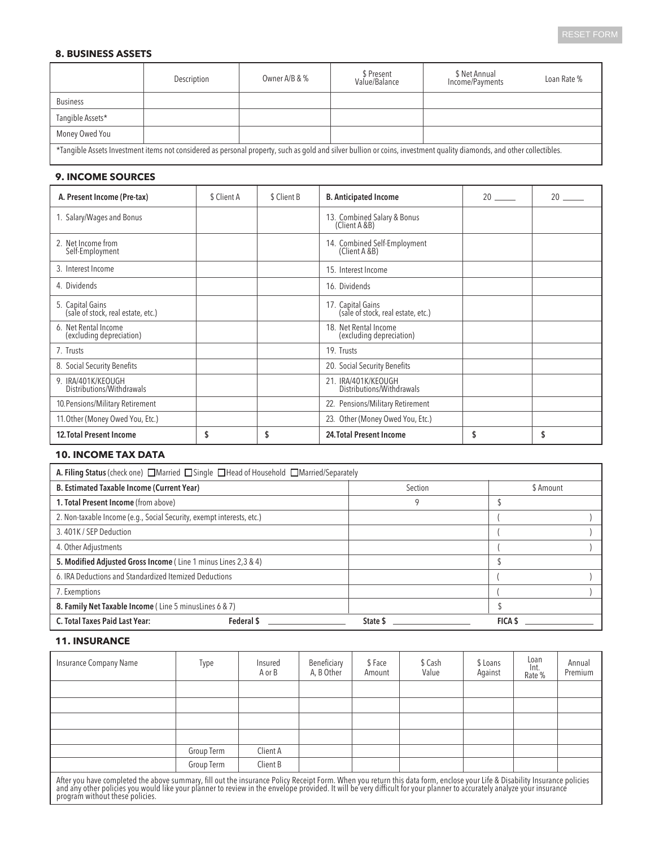#### **8. BUSINESS ASSETS**

|                                                                                                                                                                       | Description | Owner A/B & % | \$ Present<br>Value/Balance | \$ Net Annual<br>Income/Payments | Loan Rate % |  |  |  |  |
|-----------------------------------------------------------------------------------------------------------------------------------------------------------------------|-------------|---------------|-----------------------------|----------------------------------|-------------|--|--|--|--|
| <b>Business</b>                                                                                                                                                       |             |               |                             |                                  |             |  |  |  |  |
| Tangible Assets*                                                                                                                                                      |             |               |                             |                                  |             |  |  |  |  |
| Money Owed You                                                                                                                                                        |             |               |                             |                                  |             |  |  |  |  |
| *Tangible Assets Investment items not considered as personal property, such as gold and silver bullion or coins, investment quality diamonds, and other collectibles. |             |               |                             |                                  |             |  |  |  |  |

# **9. INCOME SOURCES**

| A. Present Income (Pre-tax)                            | \$ Client A | \$ Client B | <b>B.</b> Anticipated Income                            | 20      |
|--------------------------------------------------------|-------------|-------------|---------------------------------------------------------|---------|
| 1. Salary/Wages and Bonus                              |             |             | 13. Combined Salary & Bonus<br>(Client A & B)           |         |
| 2. Net Income from<br>Self-Employment                  |             |             | 14. Combined Self-Employment<br>(Client A &B)           |         |
| 3. Interest Income                                     |             |             | 15. Interest Income                                     |         |
| 4. Dividends                                           |             |             | 16. Dividends                                           |         |
| 5. Capital Gains<br>(sale of stock, real estate, etc.) |             |             | 17. Capital Gains<br>(sale of stock, real estate, etc.) |         |
| 6. Net Rental Income<br>(excluding depreciation)       |             |             | 18. Net Rental Income<br>(excluding depreciation)       |         |
| 7. Trusts                                              |             |             | 19. Trusts                                              |         |
| 8. Social Security Benefits                            |             |             | 20. Social Security Benefits                            |         |
| 9. IRA/401K/KEOUGH<br>Distributions/Withdrawals        |             |             | 21. IRA/401K/KEOUGH<br>Distributions/Withdrawals        |         |
| 10. Pensions/Military Retirement                       |             |             | 22. Pensions/Military Retirement                        |         |
| 11. Other (Money Owed You, Etc.)                       |             |             | 23. Other (Money Owed You, Etc.)                        |         |
| <b>12. Total Present Income</b>                        | S           | S           | 24. Total Present Income                                | \$<br>S |

## **10. INCOME TAX DATA**

| A. Filing Status (check one) □Married □Single □Head of Household □Married/Separately |          |           |  |  |  |  |  |  |  |
|--------------------------------------------------------------------------------------|----------|-----------|--|--|--|--|--|--|--|
| <b>B. Estimated Taxable Income (Current Year)</b>                                    | Section  | \$ Amount |  |  |  |  |  |  |  |
| 1. Total Present Income (from above)                                                 | 9        |           |  |  |  |  |  |  |  |
| 2. Non-taxable Income (e.g., Social Security, exempt interests, etc.)                |          |           |  |  |  |  |  |  |  |
| 3.401K / SEP Deduction                                                               |          |           |  |  |  |  |  |  |  |
| 4. Other Adjustments                                                                 |          |           |  |  |  |  |  |  |  |
| 5. Modified Adjusted Gross Income (Line 1 minus Lines 2,3 & 4)                       |          |           |  |  |  |  |  |  |  |
| 6. IRA Deductions and Standardized Itemized Deductions                               |          |           |  |  |  |  |  |  |  |
| 7. Exemptions                                                                        |          |           |  |  |  |  |  |  |  |
| 8. Family Net Taxable Income (Line 5 minus Lines 6 & 7)                              |          |           |  |  |  |  |  |  |  |
| Federal \$<br>C. Total Taxes Paid Last Year:                                         | State \$ | FICA \$   |  |  |  |  |  |  |  |

## **11. INSURANCE**

| Insurance Company Name                                                                                                                                                    | Type       | Insured<br>A or B | Beneficiary<br>A, B Other | \$Face<br>Amount | \$ Cash<br>Value | \$ Loans<br>Against | Loan<br>Int.<br>Rate % | Annual<br>Premium |
|---------------------------------------------------------------------------------------------------------------------------------------------------------------------------|------------|-------------------|---------------------------|------------------|------------------|---------------------|------------------------|-------------------|
|                                                                                                                                                                           |            |                   |                           |                  |                  |                     |                        |                   |
|                                                                                                                                                                           |            |                   |                           |                  |                  |                     |                        |                   |
|                                                                                                                                                                           |            |                   |                           |                  |                  |                     |                        |                   |
|                                                                                                                                                                           |            |                   |                           |                  |                  |                     |                        |                   |
|                                                                                                                                                                           | Group Term | Client A          |                           |                  |                  |                     |                        |                   |
|                                                                                                                                                                           | Group Term | Client B          |                           |                  |                  |                     |                        |                   |
| After you have completed the above summary, fill out the insurance Policy Receipt Form. When you return this data form, enclose your Life & Disability Insurance policies |            |                   |                           |                  |                  |                     |                        |                   |

הות, ואטר השיפה שטער של השומש של הוא האות השיפה ואת השיפה וא השיפה והשיפה הוא האות הוא היה השיפה הוא היה השיפה<br>and any other policies you would like your planner to review in the envelope provided. It will be very difficu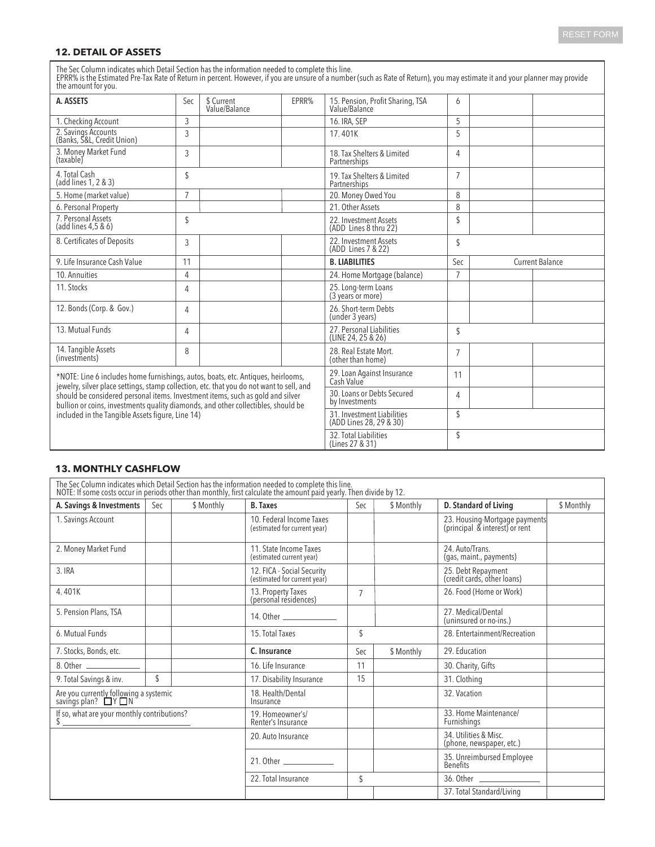### **12. DETAIL OF ASSETS**

The Sec Column indicates which Detail Section has the information needed to complete this line.<br>EPRR% is the Estimated Pre-Tax Rate of Return in percent. However, if you are unsure of a number (such as Rate of Return), you

| uit univuit ivi yvu.                                                                                                                                                                                                                                            |                |                             |                                              |                                                             |                               |  |  |
|-----------------------------------------------------------------------------------------------------------------------------------------------------------------------------------------------------------------------------------------------------------------|----------------|-----------------------------|----------------------------------------------|-------------------------------------------------------------|-------------------------------|--|--|
| A. ASSETS                                                                                                                                                                                                                                                       | Sec            | \$ Current<br>Value/Balance | EPRR%                                        | 15. Pension, Profit Sharing, TSA<br>Value/Balance           | 6                             |  |  |
| 1. Checking Account                                                                                                                                                                                                                                             | 3              |                             |                                              | 16. IRA, SEP                                                | 5                             |  |  |
| 2. Savings Accounts<br>(Banks, S&L, Credit Union)                                                                                                                                                                                                               | 3              |                             |                                              | 17.401K                                                     | 5                             |  |  |
| 3. Money Market Fund<br>(taxable)                                                                                                                                                                                                                               | 3              |                             |                                              | 18. Tax Shelters & Limited<br>Partnerships                  | 4                             |  |  |
| 4. Total Cash<br>(add lines 1, 2 & 3)                                                                                                                                                                                                                           | \$             |                             |                                              | 19. Tax Shelters & Limited<br>Partnerships                  | $\overline{7}$                |  |  |
| 5. Home (market value)                                                                                                                                                                                                                                          | $\overline{7}$ |                             |                                              | 20. Money Owed You                                          | 8                             |  |  |
| 6. Personal Property                                                                                                                                                                                                                                            |                |                             |                                              | 21. Other Assets                                            | 8                             |  |  |
| 7. Personal Assets<br>(add lines 4,5 & 6)                                                                                                                                                                                                                       | \$             |                             |                                              | 22. Investment Assets<br>(ADD Lines 8 thru 22)              | \$                            |  |  |
| 8. Certificates of Deposits                                                                                                                                                                                                                                     | 3              |                             |                                              | 22. Investment Assets<br>(ADD Lines 7 & 22)                 | \$                            |  |  |
| 9. Life Insurance Cash Value                                                                                                                                                                                                                                    | 11             |                             |                                              | <b>B. LIABILITIES</b>                                       | Sec<br><b>Current Balance</b> |  |  |
| 10. Annuities                                                                                                                                                                                                                                                   | 4              |                             |                                              | 24. Home Mortgage (balance)                                 | $\overline{7}$                |  |  |
| 11. Stocks                                                                                                                                                                                                                                                      | 4              |                             |                                              | 25. Long-term Loans<br>(3 years or more)                    |                               |  |  |
| 12. Bonds (Corp. & Gov.)                                                                                                                                                                                                                                        | 4              |                             |                                              | 26. Short-term Debts<br>(under 3 years)                     |                               |  |  |
| 13. Mutual Funds                                                                                                                                                                                                                                                | 4              |                             |                                              | 27. Personal Liabilities<br>(LINE 24, 25 & 26)              | \$                            |  |  |
| 14. Tangible Assets<br>(investments)                                                                                                                                                                                                                            | 8              |                             |                                              | 28. Real Estate Mort.<br>(other than home)                  | $\overline{7}$                |  |  |
| *NOTE: Line 6 includes home furnishings, autos, boats, etc. Antiques, heirlooms,                                                                                                                                                                                |                |                             |                                              | 29. Loan Against Insurance<br>Cash Value                    | 11                            |  |  |
| jewelry, silver place settings, stamp collection, etc. that you do not want to sell, and<br>should be considered personal items. Investment items, such as gold and silver<br>bullion or coins, investments quality diamonds, and other collectibles, should be |                |                             | 30. Loans or Debts Secured<br>by Investments | 4                                                           |                               |  |  |
| included in the Tangible Assets figure, Line 14)                                                                                                                                                                                                                |                |                             |                                              | \$<br>31. Investment Liabilities<br>(ADD Lines 28, 29 & 30) |                               |  |  |
|                                                                                                                                                                                                                                                                 |                |                             |                                              | 32. Total Liabilities<br>(Lines 27 & 31)                    | \$                            |  |  |

#### **13. MONTHLY CASHFLOW**

| The Sec Column indicates which Detail Section has the information needed to complete this line.<br>NOTE: If some costs occur in periods other than monthly, first calculate the amount paid yearly. Then divide by 12. |     |            |                                                                                                                                                                                                                               |                |            |                                                                 |            |  |  |  |
|------------------------------------------------------------------------------------------------------------------------------------------------------------------------------------------------------------------------|-----|------------|-------------------------------------------------------------------------------------------------------------------------------------------------------------------------------------------------------------------------------|----------------|------------|-----------------------------------------------------------------|------------|--|--|--|
| A. Savings & Investments                                                                                                                                                                                               | Sec | \$ Monthly | <b>B.</b> Taxes                                                                                                                                                                                                               | Sec            | \$ Monthly | D. Standard of Living                                           | \$ Monthly |  |  |  |
| 1. Savings Account                                                                                                                                                                                                     |     |            | 10. Federal Income Taxes<br>(estimated for current year)                                                                                                                                                                      |                |            | 23. Housing-Mortgage payments<br>(principal & interest) or rent |            |  |  |  |
| 2. Money Market Fund                                                                                                                                                                                                   |     |            | 11. State Income Taxes<br>(estimated current year)                                                                                                                                                                            |                |            | 24. Auto/Trans.<br>(gas, maint., payments)                      |            |  |  |  |
| 3. IRA                                                                                                                                                                                                                 |     |            | 12. FICA - Social Security<br>(estimated for current year)                                                                                                                                                                    |                |            | 25. Debt Repayment<br>(credit cards, other loans)               |            |  |  |  |
| 4.401K                                                                                                                                                                                                                 |     |            | 13. Property Taxes<br>(personal residences)                                                                                                                                                                                   | $\overline{7}$ |            | 26. Food (Home or Work)                                         |            |  |  |  |
| 5. Pension Plans, TSA                                                                                                                                                                                                  |     |            | 14. Other and the state of the state of the state of the state of the state of the state of the state of the state of the state of the state of the state of the state of the state of the state of the state of the state of |                |            | 27. Medical/Dental<br>(uninsured or no-ins.)                    |            |  |  |  |
| 6. Mutual Funds                                                                                                                                                                                                        |     |            | 15. Total Taxes                                                                                                                                                                                                               | \$             |            | 28. Entertainment/Recreation                                    |            |  |  |  |
| 7. Stocks, Bonds, etc.                                                                                                                                                                                                 |     |            | C. Insurance                                                                                                                                                                                                                  | Sec            | \$ Monthly | 29. Education                                                   |            |  |  |  |
|                                                                                                                                                                                                                        |     |            | 16. Life Insurance                                                                                                                                                                                                            | 11             |            | 30. Charity, Gifts                                              |            |  |  |  |
| 9. Total Savings & inv.                                                                                                                                                                                                | \$  |            | 17. Disability Insurance                                                                                                                                                                                                      | 15             |            | 31. Clothing                                                    |            |  |  |  |
| Are you currently following a systemic<br>savings plan? □ Y □ N                                                                                                                                                        |     |            | 18. Health/Dental<br>Insurance                                                                                                                                                                                                |                |            | 32. Vacation                                                    |            |  |  |  |
| If so, what are your monthly contributions?<br>\$                                                                                                                                                                      |     |            | 19. Homeowner's/<br>Renter's Insurance                                                                                                                                                                                        |                |            | 33. Home Maintenance/<br>Furnishings                            |            |  |  |  |
|                                                                                                                                                                                                                        |     |            | 20. Auto Insurance                                                                                                                                                                                                            |                |            | 34. Utilities & Misc.<br>(phone, newspaper, etc.)               |            |  |  |  |
|                                                                                                                                                                                                                        |     |            |                                                                                                                                                                                                                               |                |            | 35. Unreimbursed Employee<br>Benefits                           |            |  |  |  |
|                                                                                                                                                                                                                        |     |            | 22. Total Insurance                                                                                                                                                                                                           | \$             |            |                                                                 |            |  |  |  |
|                                                                                                                                                                                                                        |     |            |                                                                                                                                                                                                                               |                |            | 37. Total Standard/Living                                       |            |  |  |  |